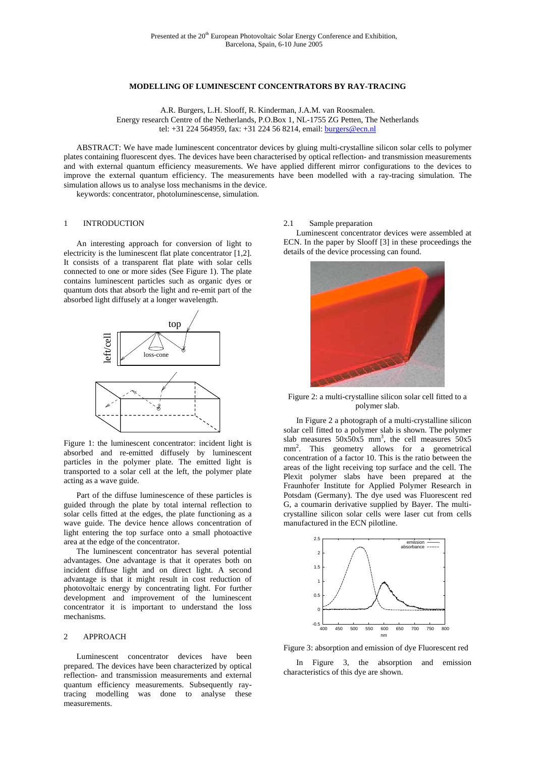## **MODELLING OF LUMINESCENT CONCENTRATORS BY RAY-TRACING**

A.R. Burgers, L.H. Slooff, R. Kinderman, J.A.M. van Roosmalen.

Energy research Centre of the Netherlands, P.O.Box 1, NL-1755 ZG Petten, The Netherlands tel: +31 224 564959, fax: +31 224 56 8214, email: burgers@ecn.nl

ABSTRACT: We have made luminescent concentrator devices by gluing multi-crystalline silicon solar cells to polymer plates containing fluorescent dyes. The devices have been characterised by optical reflection- and transmission measurements and with external quantum efficiency measurements. We have applied different mirror configurations to the devices to improve the external quantum efficiency. The measurements have been modelled with a ray-tracing simulation. The simulation allows us to analyse loss mechanisms in the device.

keywords: concentrator, photoluminescense, simulation.

# 1 INTRODUCTION

An interesting approach for conversion of light to electricity is the luminescent flat plate concentrator [1,2]. It consists of a transparent flat plate with solar cells connected to one or more sides (See Figure 1). The plate contains luminescent particles such as organic dyes or quantum dots that absorb the light and re-emit part of the absorbed light diffusely at a longer wavelength.



Figure 1: the luminescent concentrator: incident light is absorbed and re-emitted diffusely by luminescent particles in the polymer plate. The emitted light is transported to a solar cell at the left, the polymer plate acting as a wave guide.

Part of the diffuse luminescence of these particles is guided through the plate by total internal reflection to solar cells fitted at the edges, the plate functioning as a wave guide. The device hence allows concentration of light entering the top surface onto a small photoactive area at the edge of the concentrator.

The luminescent concentrator has several potential advantages. One advantage is that it operates both on incident diffuse light and on direct light. A second advantage is that it might result in cost reduction of photovoltaic energy by concentrating light. For further development and improvement of the luminescent concentrator it is important to understand the loss mechanisms.

## 2 APPROACH

Luminescent concentrator devices have been prepared. The devices have been characterized by optical reflection- and transmission measurements and external quantum efficiency measurements. Subsequently raytracing modelling was done to analyse these measurements.

### 2.1 Sample preparation

Luminescent concentrator devices were assembled at ECN. In the paper by Slooff [3] in these proceedings the details of the device processing can found.



Figure 2: a multi-crystalline silicon solar cell fitted to a polymer slab.

In Figure 2 a photograph of a multi-crystalline silicon solar cell fitted to a polymer slab is shown. The polymer slab measures  $50x50x5$  mm<sup>3</sup>, the cell measures  $50x5$ mm<sup>2</sup>. This geometry allows for a geometrical concentration of a factor 10. This is the ratio between the areas of the light receiving top surface and the cell. The Plexit polymer slabs have been prepared at the Fraunhofer Institute for Applied Polymer Research in Potsdam (Germany). The dye used was Fluorescent red G, a coumarin derivative supplied by Bayer. The multicrystalline silicon solar cells were laser cut from cells manufactured in the ECN pilotline.



Figure 3: absorption and emission of dye Fluorescent red

In Figure 3, the absorption and emission characteristics of this dye are shown.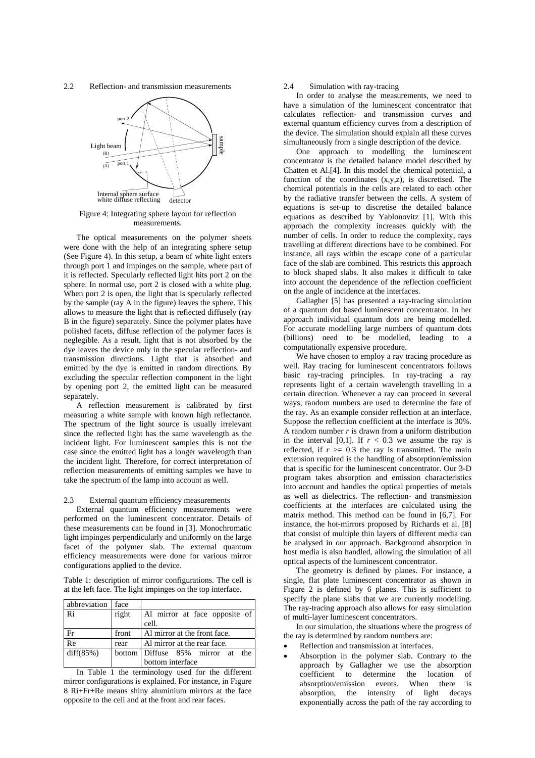2.2 Reflection- and transmission measurements



### Figure 4: Integrating sphere layout for reflection measurements.

The optical measurements on the polymer sheets were done with the help of an integrating sphere setup (See Figure 4). In this setup, a beam of white light enters through port 1 and impinges on the sample, where part of it is reflected. Specularly reflected light hits port 2 on the sphere. In normal use, port 2 is closed with a white plug. When port 2 is open, the light that is specularly reflected by the sample (ray A in the figure) leaves the sphere. This allows to measure the light that is reflected diffusely (ray B in the figure) separately. Since the polymer plates have polished facets, diffuse reflection of the polymer faces is neglegible. As a result, light that is not absorbed by the dye leaves the device only in the specular reflection- and transmission directions. Light that is absorbed and emitted by the dye is emitted in random directions. By excluding the specular reflection component in the light by opening port 2, the emitted light can be measured separately.

A reflection measurement is calibrated by first measuring a white sample with known high reflectance. The spectrum of the light source is usually irrelevant since the reflected light has the same wavelength as the incident light. For luminescent samples this is not the case since the emitted light has a longer wavelength than the incident light. Therefore, for correct interpretation of reflection measurements of emitting samples we have to take the spectrum of the lamp into account as well.

#### 2.3 External quantum efficiency measurements

External quantum efficiency measurements were performed on the luminescent concentrator. Details of these measurements can be found in [3]. Monochromatic light impinges perpendicularly and uniformly on the large facet of the polymer slab. The external quantum efficiency measurements were done for various mirror configurations applied to the device.

Table 1: description of mirror configurations. The cell is at the left face. The light impinges on the top interface.

| abbreviation face |       |                                  |
|-------------------|-------|----------------------------------|
| Ri                | right | Al mirror at face opposite of    |
|                   |       | cell.                            |
| Fr                | front | Al mirror at the front face.     |
| Re                | rear  | Al mirror at the rear face.      |
| diff(85%)         |       | bottom Diffuse 85% mirror at the |
|                   |       | bottom interface                 |

In Table 1 the terminology used for the different mirror configurations is explained. For instance, in Figure 8 Ri+Fr+Re means shiny aluminium mirrors at the face opposite to the cell and at the front and rear faces.

## 2.4 Simulation with ray-tracing

In order to analyse the measurements, we need to have a simulation of the luminescent concentrator that calculates reflection- and transmission curves and external quantum efficiency curves from a description of the device. The simulation should explain all these curves simultaneously from a single description of the device.

One approach to modelling the luminescent concentrator is the detailed balance model described by Chatten et Al.[4]. In this model the chemical potential, a function of the coordinates  $(x,y,z)$ , is discretised. The chemical potentials in the cells are related to each other by the radiative transfer between the cells. A system of equations is set-up to discretise the detailed balance equations as described by Yablonovitz [1]. With this approach the complexity increases quickly with the number of cells. In order to reduce the complexity, rays travelling at different directions have to be combined. For instance, all rays within the escape cone of a particular face of the slab are combined. This restricts this approach to block shaped slabs. It also makes it difficult to take into account the dependence of the reflection coefficient on the angle of incidence at the interfaces.

Gallagher [5] has presented a ray-tracing simulation of a quantum dot based luminescent concentrator. In her approach individual quantum dots are being modelled. For accurate modelling large numbers of quantum dots (billions) need to be modelled, leading to a computationally expensive procedure.

We have chosen to employ a ray tracing procedure as well. Ray tracing for luminescent concentrators follows basic ray-tracing principles. In ray-tracing a ray represents light of a certain wavelength travelling in a certain direction. Whenever a ray can proceed in several ways, random numbers are used to determine the fate of the ray. As an example consider reflection at an interface. Suppose the reflection coefficient at the interface is 30%. A random number *r* is drawn from a uniform distribution in the interval [0,1]. If  $r < 0.3$  we assume the ray is reflected, if  $r \ge 0.3$  the ray is transmitted. The main extension required is the handling of absorption/emission that is specific for the luminescent concentrator. Our 3-D program takes absorption and emission characteristics into account and handles the optical properties of metals as well as dielectrics. The reflection- and transmission coefficients at the interfaces are calculated using the matrix method. This method can be found in [6,7]. For instance, the hot-mirrors proposed by Richards et al. [8] that consist of multiple thin layers of different media can be analysed in our approach. Background absorption in host media is also handled, allowing the simulation of all optical aspects of the luminescent concentrator.

The geometry is defined by planes. For instance, a single, flat plate luminescent concentrator as shown in Figure 2 is defined by 6 planes. This is sufficient to specify the plane slabs that we are currently modelling. The ray-tracing approach also allows for easy simulation of multi-layer luminescent concentrators.

In our simulation, the situations where the progress of the ray is determined by random numbers are:

- Reflection and transmission at interfaces.
- Absorption in the polymer slab. Contrary to the approach by Gallagher we use the absorption coefficient to determine the location of absorption/emission events. When there is absorption, the intensity of light decays exponentially across the path of the ray according to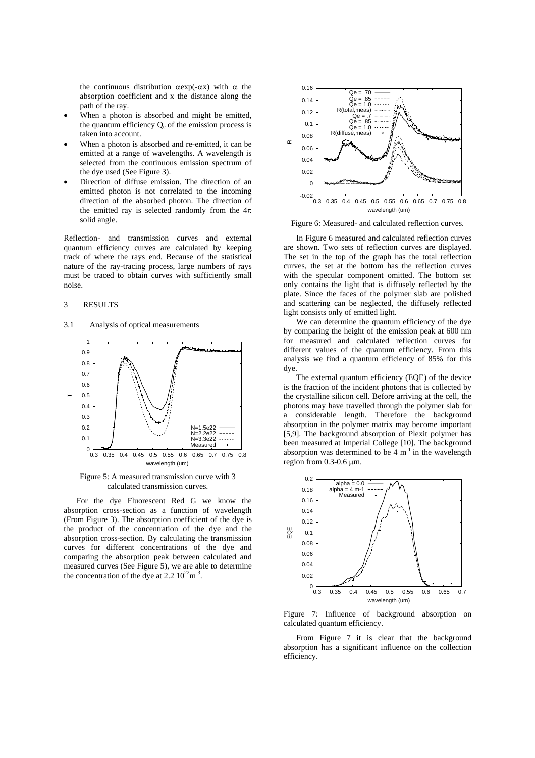the continuous distribution  $αexp(-αx)$  with  $α$  the absorption coefficient and x the distance along the path of the ray.

- When a photon is absorbed and might be emitted, the quantum efficiency  $Q_e$  of the emission process is taken into account.
- When a photon is absorbed and re-emitted, it can be emitted at a range of wavelengths. A wavelength is selected from the continuous emission spectrum of the dye used (See Figure 3).
- Direction of diffuse emission. The direction of an emitted photon is not correlated to the incoming direction of the absorbed photon. The direction of the emitted ray is selected randomly from the  $4\pi$ solid angle.

Reflection- and transmission curves and external quantum efficiency curves are calculated by keeping track of where the rays end. Because of the statistical nature of the ray-tracing process, large numbers of rays must be traced to obtain curves with sufficiently small noise.

### 3 RESULTS

#### 3.1 Analysis of optical measurements



Figure 5: A measured transmission curve with 3 calculated transmission curves.

For the dye Fluorescent Red G we know the absorption cross-section as a function of wavelength (From Figure 3). The absorption coefficient of the dye is the product of the concentration of the dye and the absorption cross-section. By calculating the transmission curves for different concentrations of the dye and comparing the absorption peak between calculated and measured curves (See Figure 5), we are able to determine the concentration of the dye at  $2.2 \times 10^{22}$ m<sup>-3</sup>.



Figure 6: Measured- and calculated reflection curves.

In Figure 6 measured and calculated reflection curves are shown. Two sets of reflection curves are displayed. The set in the top of the graph has the total reflection curves, the set at the bottom has the reflection curves with the specular component omitted. The bottom set only contains the light that is diffusely reflected by the plate. Since the faces of the polymer slab are polished and scattering can be neglected, the diffusely reflected light consists only of emitted light.

We can determine the quantum efficiency of the dye by comparing the height of the emission peak at 600 nm for measured and calculated reflection curves for different values of the quantum efficiency. From this analysis we find a quantum efficiency of 85% for this dye.

The external quantum efficiency (EQE) of the device is the fraction of the incident photons that is collected by the crystalline silicon cell. Before arriving at the cell, the photons may have travelled through the polymer slab for a considerable length. Therefore the background absorption in the polymer matrix may become important [5,9]. The background absorption of Plexit polymer has been measured at Imperial College [10]. The background absorption was determined to be  $4 \text{ m}^{-1}$  in the wavelength region from 0.3-0.6 µm.



Figure 7: Influence of background absorption on calculated quantum efficiency.

From Figure 7 it is clear that the background absorption has a significant influence on the collection efficiency.